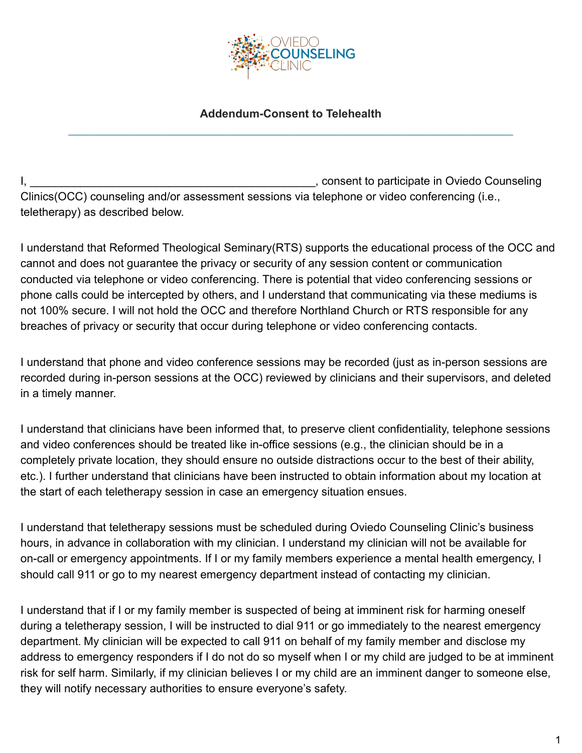

## **Addendum-Consent to Telehealth \_\_\_\_\_\_\_\_\_\_\_\_\_\_\_\_\_\_\_\_\_\_\_\_\_\_\_\_\_\_\_\_\_\_\_\_\_\_\_\_\_\_\_\_\_\_\_\_\_\_\_\_\_\_\_\_\_\_\_\_\_\_\_\_\_\_\_\_\_\_\_\_\_\_\_\_\_\_**

I, Consent to participate in Oviedo Counseling Clinics(OCC) counseling and/or assessment sessions via telephone or video conferencing (i.e., teletherapy) as described below.

I understand that Reformed Theological Seminary(RTS) supports the educational process of the OCC and cannot and does not guarantee the privacy or security of any session content or communication conducted via telephone or video conferencing. There is potential that video conferencing sessions or phone calls could be intercepted by others, and I understand that communicating via these mediums is not 100% secure. I will not hold the OCC and therefore Northland Church or RTS responsible for any breaches of privacy or security that occur during telephone or video conferencing contacts.

I understand that phone and video conference sessions may be recorded (just as in-person sessions are recorded during in-person sessions at the OCC) reviewed by clinicians and their supervisors, and deleted in a timely manner.

I understand that clinicians have been informed that, to preserve client confidentiality, telephone sessions and video conferences should be treated like in-office sessions (e.g., the clinician should be in a completely private location, they should ensure no outside distractions occur to the best of their ability, etc.). I further understand that clinicians have been instructed to obtain information about my location at the start of each teletherapy session in case an emergency situation ensues.

I understand that teletherapy sessions must be scheduled during Oviedo Counseling Clinic's business hours, in advance in collaboration with my clinician. I understand my clinician will not be available for on-call or emergency appointments. If I or my family members experience a mental health emergency, I should call 911 or go to my nearest emergency department instead of contacting my clinician.

I understand that if I or my family member is suspected of being at imminent risk for harming oneself during a teletherapy session, I will be instructed to dial 911 or go immediately to the nearest emergency department. My clinician will be expected to call 911 on behalf of my family member and disclose my address to emergency responders if I do not do so myself when I or my child are judged to be at imminent risk for self harm. Similarly, if my clinician believes I or my child are an imminent danger to someone else, they will notify necessary authorities to ensure everyone's safety.